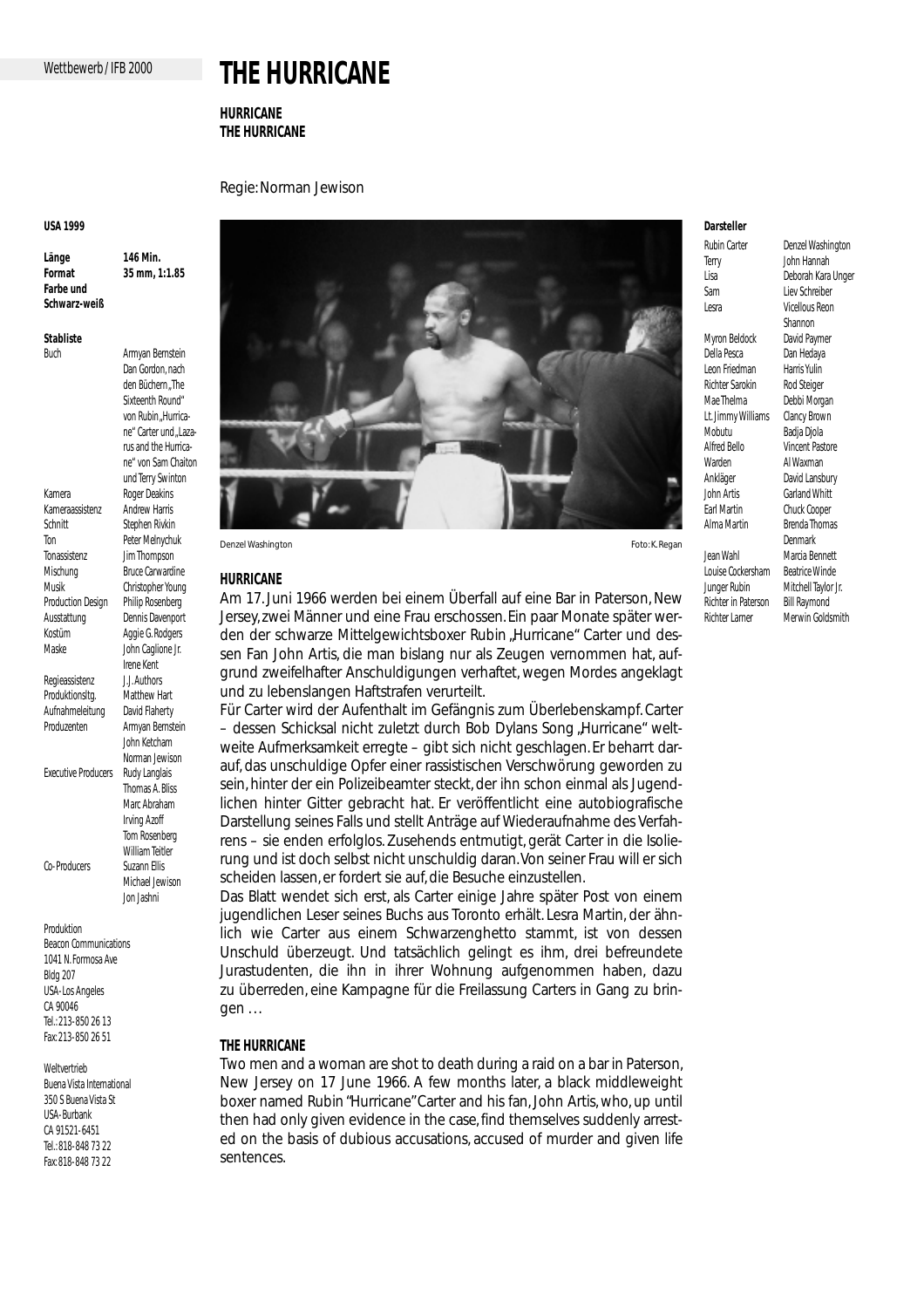# **THE HURRICANE**

**HURRICANE THE HURRICANE**

# Regie: Norman Jewison

### **USA 1999**

**Länge 146 Min. Format 35 mm, 1:1.85 Farbe und Schwarz-weiß**

> Dan Gordon, nach den Büchern The Sixteenth Round" von Rubin Hurrica-

**Stabliste**

Buch Armyan Bernstein

ne" Carter und .Lazarus and the Hurricane" von Sam Chaiton und Terry Swinton Kamera Roger Deakins Kameraassistenz Andrew Harris<br>Schnitt Stephen Piukin Stephen Rivkin Ton Peter Melnychuk Tonassistenz Jim Thompson Mischung **Bruce Carwardine** Musik Christopher Young<br>Production Design Philip Rosenberg Production Design Ausstattung Dennis Davenport Kostüm Aggie G. Rodgers Maske John Caglione Jr. Irene Kent Regieassistenz J.J. Authors Produktionsltg. Matthew Hart Aufnahmeleitung David Flaherty Produzenten Armyan Bernstein John Ketcham Norman Jewison<br>Rudy Langlais Executive Producers Thomas A. Bliss Marc Abraham Irving Azoff Tom Rosenberg William Teitler Co-Producers Suzann Ellis Michael Jewison Jon Jashni

Produktion Beacon Communications 1041 N. Formosa Ave Bldg 207 USA-Los Angeles CA 90046 Tel.: 213-850 26 13 Fax: 213-850 26 51

Weltvertrieb Buena Vista International 350 S Buena Vista St USA-Burbank CA 91521-6451 Tel.: 818-848 73 22 Fax: 818-848 73 22



### **HURRICANE**

Am 17. Juni 1966 werden bei einem Überfall auf eine Bar in Paterson, New Jersey, zwei Männer und eine Frau erschossen. Ein paar Monate später werden der schwarze Mittelgewichtsboxer Rubin "Hurricane" Carter und dessen Fan John Artis, die man bislang nur als Zeugen vernommen hat, aufgrund zweifelhafter Anschuldigungen verhaftet, wegen Mordes angeklagt und zu lebenslangen Haftstrafen verurteilt.

Für Carter wird der Aufenthalt im Gefängnis zum Überlebenskampf. Carter – dessen Schicksal nicht zuletzt durch Bob Dylans Song "Hurricane" weltweite Aufmerksamkeit erregte – gibt sich nicht geschlagen. Er beharrt darauf, das unschuldige Opfer einer rassistischen Verschwörung geworden zu sein, hinter der ein Polizeibeamter steckt, der ihn schon einmal als Jugendlichen hinter Gitter gebracht hat. Er veröffentlicht eine autobiografische Darstellung seines Falls und stellt Anträge auf Wiederaufnahme des Verfahrens – sie enden erfolglos. Zusehends entmutigt, gerät Carter in die Isolierung und ist doch selbst nicht unschuldig daran.Von seiner Frau will er sich scheiden lassen, er fordert sie auf, die Besuche einzustellen.

Das Blatt wendet sich erst, als Carter einige Jahre später Post von einem jugendlichen Leser seines Buchs aus Toronto erhält. Lesra Martin, der ähnlich wie Carter aus einem Schwarzenghetto stammt, ist von dessen Unschuld überzeugt. Und tatsächlich gelingt es ihm, drei befreundete Jurastudenten, die ihn in ihrer Wohnung aufgenommen haben, dazu zu überreden, eine Kampagne für die Freilassung Carters in Gang zu bringen . . .

# **THE HURRICANE**

Two men and a woman are shot to death during a raid on a bar in Paterson, New Jersey on 17 June 1966. A few months later, a black middleweight boxer named Rubin "Hurricane" Carter and his fan, John Artis, who, up until then had only given evidence in the case, find themselves suddenly arrested on the basis of dubious accusations, accused of murder and given life sentences.

# **Darsteller**

Terry John Hannah Sam Liev Schreiber Lesra Vicellous Reon Myron Beldock Della Pesca Dan Hedaya Leon Friedman Harris Yulin<br>Richter Sarokin Rod Steiger Richter Sarokin Mae Thelma Debbi Morgan<br>Lt. Jimmy Williams Clancy Brown Lt. Jimmy Williams<br>Mobutu Alfred Bello Vincent Pastore Warden Al Waxman Ankläger David Lansbury John Artis Garland Whitt Earl Martin Chuck Cooper<br>Alma Martin Brenda Thoma Jean Wahl<br>Louise Cockersham Beatrice Winde Louise Cockersham

Richter in Paterson<br>Richter Larner

Rubin Carter Denzel Washington Lisa Deborah Kara Unger Shannon<br>David Paymer Badia Diola **Brenda Thomas** Denmark Junger Rubin Mitchell Taylor Jr.<br>Richter in Paterson Bill Raymond Merwin Goldsmith